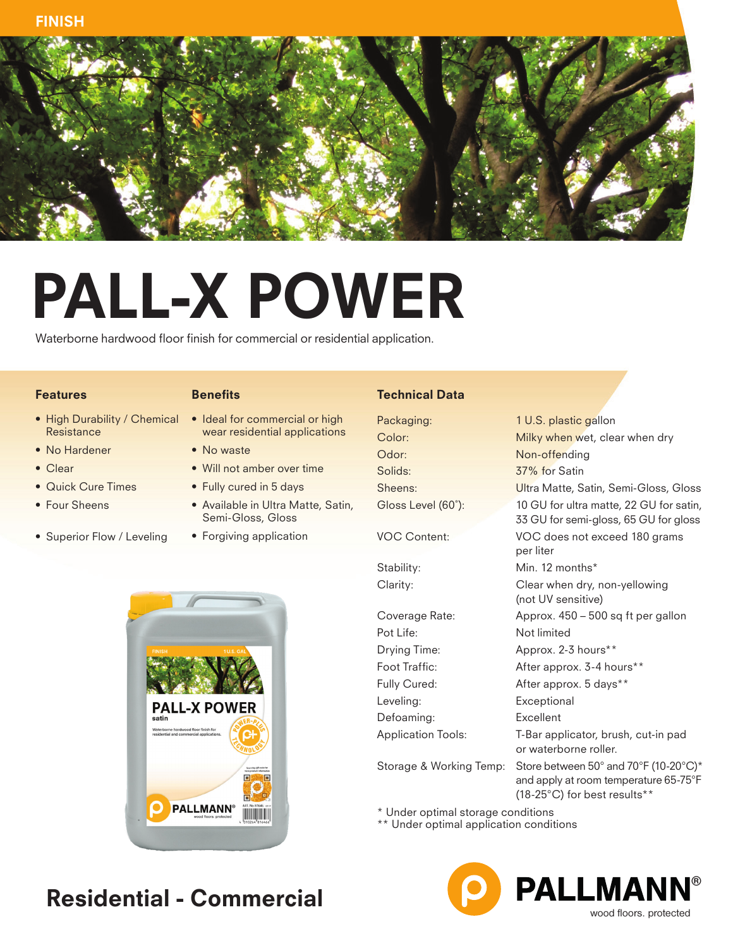

# PALL-X POWER

Waterborne hardwood floor finish for commercial or residential application.

#### Features

- Resistance
- No Hardener
- Clear
- Quick Cure Times
- Four Sheens
- Superior Flow / Leveling

#### **Benefits**

- High Durability / Chemical Ideal for commercial or high wear residential applications
	- No waste
	- Will not amber over time
	- Fully cured in 5 days
	- Available in Ultra Matte, Satin, Semi-Gloss, Gloss
	- Forgiving application

#### Technical Data

Packaging: 1 U.S. plastic gallon Odor: Non-offending Solids: 37% for Satin

Pot Life: Not limited Leveling: Exceptional Defoaming: Excellent

Color: Milky when wet, clear when dry Sheens: Ultra Matte, Satin, Semi-Gloss, Gloss Gloss Level (60˚): 10 GU for ultra matte, 22 GU for satin, 33 GU for semi-gloss, 65 GU for gloss VOC Content: VOC does not exceed 180 grams per liter Stability: Min. 12 months\* Clarity: Clear when dry, non-yellowing (not UV sensitive) Coverage Rate: Approx. 450 – 500 sq ft per gallon Drying Time: Approx. 2-3 hours\*\* Foot Traffic: After approx. 3-4 hours\*\* Fully Cured: <br>
After approx. 5 days\*\* Application Tools: T-Bar applicator, brush, cut-in pad or waterborne roller. Storage & Working Temp: Store between 50° and 70°F (10-20°C)\* and apply at room temperature 65-75°F (18-25°C) for best results\*\*

\* Under optimal storage conditions

\*\* Under optimal application conditions





### Residential - Commercial